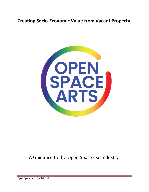## **Creating Socio-Economic Value from Vacant Property**



A Guidance to the Open Space use industry.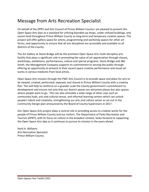## Message from Arts Recreation Specialist

On behalf of the DPRT and Arts Council of Prince William County I am pleased to present this Open Space Arts plan as a standard for utilizing boarded-up shops, under-utilized buildings, and vacant land throughout Prince William County as long-term and temporary creative spaces. This project will offer gallery space for artists, programming and workshop spaces for other art forms, and opportunity to ensure that all arts disciplines are accessible and available to all districts of the County.

The Art Gallery at Stone Bridge will be the premiere Open Space Arts multi-discipline arts facility that plays a significant role in promoting the value of art appreciation through classes, workshops, exhibitions, performances, culture and special programs. Stone Bridge and JBG Smith, the Management Company supports its commitment to serving the public through offering an opportunity to present in their vacant space creative performance and visual art works in various mediums from local artists.

Open Space Arts mission through the PWC Arts Council is to provide space and place for arts to be viewed, created, performed, exposed, and shared in Prince William County with a creative flair. This will help to reinforce on a grander scale the County government's commitment to development and ensure not only that our district spaces are attractive places but also spaces where people want to go. This can also stimulate a wide range of other uses such as community hubs, arts and cultural venue, and informal learning centers which can unlock people's talent and creativity; strengthening our arts and culture sector as set out in the Community Design plan announced by the Board of County Supervisors in 2017.

Our Open Space Arts project plays a central role in providing access to creative works for the people of Prince William County and our visitors. The Department of Parks Recreation and Tourism (DPRT), with its focus on culture in the broadest context, looks forward to supporting the Open Space Arts idea as it continues to pursue its mission in the years ahead.

Herb A. Williams Arts Recreation Specialist Prince William County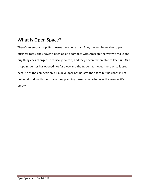# What is Open Space?

There's an empty shop. Businesses have gone bust. They haven't been able to pay business rates; they haven't been able to compete with Amazon; the way we make and buy things has changed so radically, so fast, and they haven't been able to keep up. Or a shopping center has opened not far away and the trade has moved there or collapsed because of the competition. Or a developer has bought the space but has not figured out what to do with it or is awaiting planning permission. Whatever the reason, it's empty.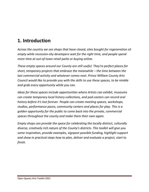# **1. Introduction**

*Across the country we see shops that have closed, sites bought for regeneration sit empty while recession-shy developers wait for the right time, and people spend more time at out-of-town retail parks or buying online.* 

*These empty spaces around our County are still useful. They're perfect places for short, temporary projects that embrace the meanwhile – the time between the last commercial activity and whatever comes next. Prince William County Arts Council would like to provide you with the skills to use these spaces, to be nimble and grab every opportunity while you can.* 

*Ideas for these spaces include opportunities where Artists can exhibit, museums can create temporary local history collections, and pod-casters can record oral history before it's lost forever. People can create meeting spaces, workshops, studios, performance paces, community centers and places for play. This is a golden opportunity for the public to come back into the private, commercial spaces throughout the county and make them their own again.*

*Empty shops can provide the space for celebrating the locally distinct, culturally diverse, creatively rich nature of the County's districts. This toolkit will give you some inspiration, provide examples, signpost possible funding, highlight support and show in practical steps how to plan, deliver and evaluate a project, start to finish.*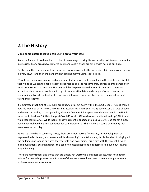## **2.The History**

#### **…and some useful facts you can use to argue your case**

Since the Pandemic we have had to think of clever ways to bring life and vitality back to our community businesses. Many areas have suffered badly and vacant shops are sitting with nothing but hope.

Firstly came the issues where local businesses were replaced by the same big retailers and coffee shops in every town - and then the pandemic hit causing many businesses to close.

"People are increasingly concerned about boarded-up shops and vacant land in their districts. It is vital that we do all we can to enable vacant properties to be used for temporary purposes until demand for retail premises start to improve. Not only will this help to ensure that our districts and streets are attractive places where people want to go, it can also stimulate a wide range of other uses such as community hubs, arts and cultural venues, and informal learning centers, which can unlock people's talent and creativity."

It is estimated that 25% of U.S. malls are expected to shut down within the next 5 years. Giving them a new life won't be easy. The COVD virus has accelerated a demise of many businesses that was already underway. According to data pulled by Moody's Analytics REIS, apartment development in the U.S. is expected to be down 15.6% in the post-Covid-19 world. Office development is set to drop 10%, it said, while retail falls 15.7%. While industrial development is expected to pick-up 3.7%, One cannot simply build industrial buildings in areas zoned for commercial use. This is where creative community ideas have to come into play.

As well as there being too many shops, there are other reasons for vacancy. If redevelopment or regeneration is planned, a process called 'land assembly' could take place, this is the idea of bringing all the buildings and land in one area together into one ownership. This is rare with the watchful eye of local government, but if it happens this can often mean shops and businesses are moved out leaving empty buildings.

There are many spaces and shops that are simply not worthwhile business spaces, with not enough visitors for many shops to survive. In some of these areas even lower rents are not enough to tempt business, so vacancies remains.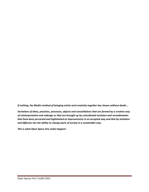*If nothing, the Medici method of bringing artists and creativity together has shown without doubt...*

*Variations of ideas, practices, processes, objects and constellations that are formed by a creative way of reinterpretation and redesign or that are brought up by coincidental variation and recombination that have been perceived and legitimated as improvements in an accepted way and that by imitation and diffusion has the ability to change parts of society in a sustainable way.*

*This is what Open Space Arts make happen!*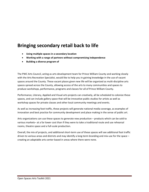## **Bringing secondary retail back to life**

- **Using multiple spaces in a secondary location**
- **Working with a range of partners without compromising independence**
- **Building a diverse program of**

The PWC Arts Council, acting as arts development team for Prince William County and working closely with the Arts Recreation Specialist, would like to help you in gaining knowledge in the use of vacant spaces around the County. These vacant places given new life will be organized as multi-discipline arts spaces spread across the County, allowing access of the arts to many communities and spaces to produce workshops, performance, programs and classes for all of Prince William County.

Performance, Literary, Applied and Visual arts projects can creatively, all be scheduled to colonize these spaces, and can include gallery space that will be innovative public studios for artists as well as workshop spaces for private classes and other local community meetings and events.

As well as increasing foot traffic, these projects will generate national media coverage, as examples of innovation and best practice for community development and place making in the sense of public art.

Arts organizations can use these spaces to generate new production – products which can be sold to various markets– at a far lower cost than if they were to take a traditional route and use rehearsal rooms, theatre space and a full-scale production.

Overall, the mix of projects, and additional short-term use of these spaces will see additional foot traffic driven to various areas and districts and may identify a long-term branding and mix-use for the space – creating an adaptable arts center based in areas where there were none.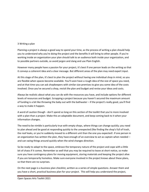#### 3 Writing a plan

Planning a project is always a good way to spend your time, as the process of writing a plan should help you to understand why you're doing the project and the benefits it will bring to other people. If you're working inside an organization your plan should talk to an audience both inside your organization, and to possible partners outside, so avoid jargon and slang and use Plain English.

However many people have a passion for your project, it's best if one person leads on the writing so that it conveys a coherent idea and a clear message. But different areas of the plan may need expert input.

At this stage of the plan, it's best to plan the project without having one individual shop in mind, so you are flexible when spaces become available. You'll soon have a rough idea of the size of space you need, and at that time you can ask shopkeepers with similar size premises to give you some idea of the costs involved. Once you've secured a shop, revisit the plan and budget and revise your ideas and costs.

Always be realistic about what you can do with the resources you have, and include options for different levels of resources and budget. Scrapping a project because you haven't secured the maximum amount of funding is a bit like throwing the baby out with the bathwater – if the project's really good, you'll find a way to make it happen.

A word of caution though - don't spend so long on this section of the toolkit that you're more involved with a plan than a project. Make this an adaptable document, and keep coming back to it when your information changes.

The need to be nimble is particularly true with empty shops, where things can change quickly; you need to plan ahead and be good at responding quickly to the unexpected (like finding the shop's full of trash, the roof leaks, or you're suddenly moved to a different unit than the one you expected!. If one person in an organization has written the plan, they have enough of an overview to act as captain when needed – and can swing things around quickly when the wind changes direction.

So be ready to adapt to the space, embrace the temporary nature of the project and cope with a little bit of chaos if it comes. Remember as well that you may be required to leave at short notice, so make sure you have contingency plans for moving equipment, storing materials and keeping the project alive if you are temporarily homeless. Make sure everyone involved in the project knows about these plans, so that there are no surprises.

On the next page is a business plan checklist, written as a series of simple questions. Answer them and you have a short, practical business plan for your project. This will help you understand the project,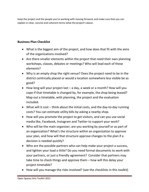keep the project and the people you're working with moving forward, and make sure that you can explain in clear, concise and coherent terms what the project's about.

## **Business Plan Checklist**

- What is the biggest aim of the project, and how does that fit with the aims of the organizations involved?
- Are there smaller elements within the project that need their own planning workshops, classes, debates or meetings? Who will lead each of these elements?
- Why is an empty shop the right venue? Does the project need to be in the district centrically placed or would a location somewhere less visible be as good?
- How long will your project last a day, a week or a month? How will you cope if that timetable is changed by, for example, the shop being leased? Map out a timetable, with planning, the project and the evaluation included.
- What will it cost think about the initial costs, and the day-to-day running costs? You can estimate utility bills by asking a nearby shop.
- How will you promote the project to get visitors, and can you use social media like, Facebook, Instagram and Twitter to support your work?
- Who will be the main organizer; are you working by yourself or as part of an organization? What's the structure within an organization to approve your plan, and how will that structure approve changes to the plan if a decision is needed quickly?
- Who are the possible partners who can help make your project a success, and lighten your load a little? Do you need formal documents to work with your partners, or just a friendly agreement? Consider that partners may take time to check things and approve them – how will this delay your project timetable?
- How will you manage the risks involved? (see the checklists in this toolkit)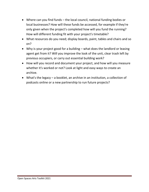- Where can you find funds the local council, national funding bodies or local businesses? How will these funds be accessed, for example if they're only given when the project's completed how will you fund the running? How will different funding fit with your project's timetable?
- What resources do you need; display boards, paint, tables and chairs and so on?
- Why is your project good for a building what does the landlord or leasing agent get from it? Will you improve the look of the unit, clear trash left by previous occupiers, or carry out essential building work?
- How will you record and document your project, and how will you measure whether it's worked or not? Look at light and easy ways to create an archive.
- What's the legacy a booklet, an archive in an institution, a collection of podcasts online or a new partnership to run future projects?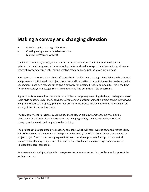# **Making a convoy and changing direction**

- Bringing together a range of partners
- Creating an agile and adaptable structure
- Maximizing Wifi and web 2.0

Think local community groups, voluntary sector organizations and small charities: a wifi hub: art galleries, fairs and designers, an Internet radio station and a wide range of hands-on activity, all in one empty showroom for six weeks making creative magic happen. Get the vision in your head!

In response to unexpected low foot traffic possibly in the first week, a range of activities can be planned and presented, with the whole project turned around in a matter of days. At the center can be a charity connection – used as a mechanism to give a pathway for meeting the local community. This is the time to communicate your message, recruit volunteers and find potential artists or partners.

A great idea is to have a local pod-caster established a temporary recording studio, uploading a series of radio-style podcasts under the 'Open Space Arts' banner. Contributors to the project can be interviewed alongside visitors to the space, giving further profile to the groups involved as well as collecting an oral history of the district and its shops

The temporary event programs could include meetings, an art fair, workshops, live music and a Christmas Fair. This mix of semi-permanent and changing activity can ensure a wide, varied and changing audience will be brought into the building.

The project can be supported by almost any company, which will help leverage costs and reduce utility bills. With the current governmental wifi program backed by the FCC it should be easy to connect the project to gain free or low cost high-speed internet. Also the opportunity for support in practical resources like cleaning equipment, tables and tablecloths, banners and catering equipment can be solicited from local companies.

Be sure to develop a light, adaptable management structure to respond to problems and opportunities as they come up.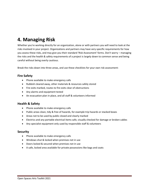# **4. Managing Risk**

Whether you're working directly for an organization, alone or with partners you will need to look at the risks involved in your project. Organizations and partners may have very specific requirements for how you assess these risks, and may give you their standard 'Risk Assessment' forms. Don't worry – managing the risks and the health & safety requirements of a project is largely down to common sense and being careful without being overly cautious.

Break the risks down into three areas, and use these checklists for your own risk assessment:

### **Fire Safety**

- Phone available to make emergency calls
- Rubbish cleared away, other materials & resources safely stored
- Fire exits marked, routes to fire exits clear of obstructions
- Any alarms and equipment tested
- An evacuation plan in place, and all staff & volunteers informed

### **Health & Safety**

- Phone available to make emergency calls
- Public areas clean, tidy & free of hazards, for example trip hazards or stacked boxes
- Areas not to be used by public closed and clearly marked
- Electrics and any portable electrical items safe, visually checked for damage or broken cables
- Any specialist equipment only used by responsible staff & volunteers

#### **Security**

- Phone available to make emergency calls
- Windows shut & locked when premises not in use
- Doors locked & secured when premises not in use
- A safe, locked area available for private possessions like bags and coats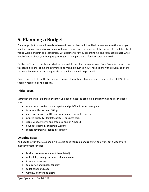# **5. Planning a Budget**

For your project to work, it needs to have a financial plan, which will help you make sure the funds you need are in place, and give you some outcomes to measure the success of the project. This will be vital if you're working within an organization, with partners or if you seek funding, and you should check what level of detail about your budgets your organization, partners or funders require as well.

Firstly, you'll need to write out what some rough figures for the cost of your Open Space Arts project. At this stage it's a mix of making estimates and making inquiries. You'll need to know the rough size of the shop you hope to use, and a vague idea of the location will help as well.

Expect staff costs to be the highest percentage of your budget; and expect to spend at least 10% of the total on marketing and publicity.

### **Initial costs**

Start with the initial expenses, the stuff you need to get the project up and running and get the doors open:

- materials to do the shop up paint and polyfilla, brushes, sandpaper
- furniture, fixtures and fittings
- electrical items a kettle, vacuum cleaner, portable heaters
- printed publicity leaflets, posters, business cards
- signs, window vinyls and graphics, and an A-board
- a website domain, building a website
- media advertising, leaflet distribution

#### **Ongoing costs**

And add the stuff that your shop will use up once you're up and running, and work out a weekly or a monthly cost for these:

- business rates (more about these later!)
- utility bills; usually only electricity and water
- insurance coverage
- tea, coffee and snacks for staff
- toilet paper and soap
- window cleaner and cloths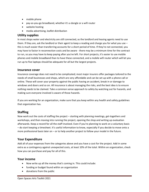- mobile phone
- pay-as-you-go broadband, whether it's a dongle or a wifi router
- website hosting
- media advertising, leaflet distribution

#### **Utility supplies**

In most shops water and electricity are still connected, as the landlord and leasing agents need to use them. If they are, ask the landlord or their agent to keep a reading and charge you for what you use – this is much easier than transferring accounts for a short period of time. If they're not connected, you may have to factor in reconnection costs and be aware - there may be a minimum time for the contract to run, so you may have to keep paying after you've left. For short projects, it's easier to use mobile phones and mobile broadband than to have these connected, and a mobile wifi router which will let you run up to five laptops should be adequate for all but the largest projects.

#### **Insurance cover**

Insurance coverage does not need to be complicated; most major insurers offer packages tailored to the needs of small businesses and shops, which are very affordable and can be set up with a phone call or online. These will cover your property against the public having an accident, break in or damage to windows and doors and so on. All insurance is about managing the risks, and the best idea is to ensure nothing needs to be claimed. Take a common sense approach to safety by watching out for hazards, and making sure everyone involved is aware of those hazards.

If you are working for an organization, make sure that you keep within any health and safety guidelines that organization has.

### **Staffing**

Now work out the costs of staffing the project – starting with planning meetings, get-togethers and workshops, and then moving into running the project, opening the shop and writing up evaluation afterwards. Keep a record for all the staff involved. Even if you're planning to work on a voluntary basis – do start keeping a timesheet. It's useful information to know, especially if you decide to move onto a more professional basis later on – or to help another project to follow your model in the future.

#### **Your Expenditure**

Add all of your expenses from the categories above and you have a cost for the project. Add in some extra as a contingency against unexpected costs, at least 10% of the total. Within an organization, check how you can purchase and pay for all of this.

#### **Your income**

- Now write up all the money that's coming in. This could include:
- funding or budget found within an organization
- donations from the public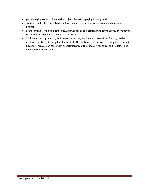- people paying contributions to the project, like artists paying to hang work
- small amounts of sponsorship from local business, including donations of goods to support your project
- grant funding from local authorities, Arts Council or corporations and foundations. (more advice on funding is provided at the end of this toolkit)
- With creative programming and clever community involvement often times funding can be achieved for the entire length of the project. This will cost you only running supplies to make it happen. This also can come with expectations from the space owner so get all the details and expectations in this case.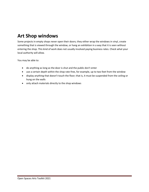# **Art Shop windows**

Some projects in empty shops never open their doors; they either wrap the windows in vinyl, create something that is viewed through the window, or hang an exhibition in a way that it is seen without entering the shop. This kind of work does not usually involved paying business rates. Check what your local authority will allow.

You may be able to:

- do anything as long as the door is shut and the public don't enter
- use a certain depth within the shop rate-free, for example, up to two feet from the window
- display anything that doesn't touch the floor; that is, it must be suspended from the ceiling or hung on the walls
- only attach materials directly to the shop windows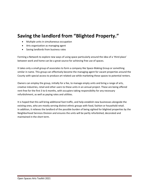## **Saving the landlord from "Blighted Property."**

- Multiple units in simultaneous occupation
- Arts organization as managing agent
- Saving landlords from business rates

Forming a Network to explore new ways of using space particularly around the idea of a 'third place' between work and home can be a great source for achieving free use of spaces.

It takes only a small group of associates to form a company like Space-Making Group or something similar in name. This group can effectively become the managing agent for vacant properties around the County with special access to produce art related use while marketing these spaces to potential renters.

Owners can employ the group, initially for a fee, to manage empty units and bring a range of arts, creative industries, retail and other users to these units in an annual project. These are being offered rent-free for the first 3 to 6 months, with occupiers taking responsibility for any necessary refurbishment, as well as paying rates and utilities.

It is hoped that this will bring additional foot traffic, and help establish new businesses alongside the existing ones, who are mostly serving distinct ethnic groups with food, fashion or household retail. In addition, it relieves the landlord of the possible burden of being sighted for blighted properties by the Neighborhood Services Division and ensures the units will be partly refurbished, decorated and maintained in the short term.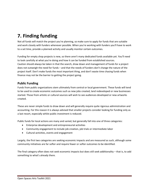# **7. Finding funding**

Not all funds will match the project you're planning, so make sure to apply for funds that are suitable and work closely with funders whenever possible. When you're working with funders you'll have to work to a set time, provide a planned activity and usually monitor certain outcomes.

Funding for empty shop projects is new, so there aren't many dedicated funds available yet. You'll need to look carefully at what you're doing and how it can be funded from established sources. Caution should always be taken in that the search, draw down and management of funds for a project does not outweigh the need for funds – and that the needs of funders don't change the nature of the project itself. Don't make funds the most important thing, and don't waste time chasing funds when finance may not be the barrier to getting the project going.

#### **Public Funding**

Funds from public organizations stem ultimately from central or local government. These funds will tend to be used to create economic outcomes such as new jobs created, land redeveloped or new businesses started. Those from artistic or cultural sources will wish to see audiences developed or new artworks created.

These are never simple funds to draw down and will generally require quite rigorous administration and accounting. For this reason it is always advised that smaller projects consider looking for funding only as a last resort, especially whilst public investment is reduced.

Public funds for local actions are many and varied, but generally fall into one of three categories:

- Enterprise development and entrepreneurial activities
- Community engagement to include job creation, job trials or intermediate labor
- Cultural activities, events and engagement

Largely, the first two categories are seeking economic impacts and are measured as such, although some community initiatives are far softer and require fewer or softer outcomes to be identified.

The final category often does not seek economic impacts but does still seek additionality – that is, to add something to what's already there.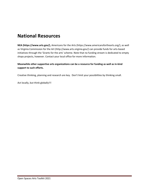## **National Resources**

**NEA (https://www.arts.gov/),** Americans for the Arts (https://www.americansforthearts.org/), as well as Virginia Commission for the Art (http://www.arts.virginia.gov/) can provide funds for arts-based initiatives through the 'Grants for the arts' scheme. Note that no funding stream is dedicated to empty shops projects, however. Contact your local office for more information.

#### **Meanwhile other supportive arts organizations can be a resource for funding as well as in-kind support to such efforts.**

Creative thinking, planning and research are key. Don't limit your possibilities by thinking small.

Act locally, but think globally!!!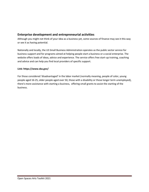### **Enterprise development and entrepreneurial activities**

Although you might not think of your idea as a business yet, some sources of finance may see it this way or see it as having potential.

Nationally and locally, the US Small Business Administration operates as the public sector service for business support and for programs aimed at helping people start a business or a social enterprise. The website offers loads of ideas, advice and experience. The service offers free start-up training, coaching and advice and can help you find local providers of specific support.

#### **Link: https://www.sba.gov/**

For those considered 'disadvantaged' in the labor market (normally meaning, people of color, young people aged 16-25, older people aged over 50, those with a disability or those longer term unemployed), there's more assistance with starting a business, offering small grants to assist the starting of the business.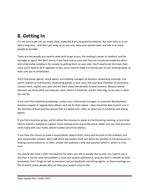# **8. Getting In**

It's not hard to get into an empty shop, especially if you lay good foundations. But start early as it can take a long time – and don't get hung up on one unit, keep your options open and talk to as many people as possible.

There are two people you need to work with to get access; the building's owner or landlord, and the manager or agent. But don't worry; if you have one on your side they can usually persuade the other. And relationship building is the answer to getting them on your side. You'll need to do this more than once; you'll need to do it regularly; in fact, you'll need to make it a normal part of your working week, at least until you're established.

You'll find estate agents, rental agents and building managers at business networking meetings. Use search engines to find business networking groups in your area, and your local Chamber of Commerce. Contact them, explain your plan and tell them about the benefits to local business. Because you've planned, you know what size shop you want, where it should be, and for how long. So be clear in what you ask for.

If you can't find networking meetings, contact your city/county manager, or economic development, business support or regeneration officers and ask for their advice – they should be able to point you in the direction of local business groups that are below your radar, or direct you to landlords and letting agents.

If you find a business group, ask for either five minutes to speak at a forthcoming meeting, or just to be able to attend a meeting as a guest. Come looking smart and professional. Make sure you have business cards ready with your name, phone number and email address.

If you have the chance to make a presentation, keep it short, sharp and focused on the problem, and your businesslike solution. Don't talk about the project itself, but about the benefits to the group you're making a presentation to. In short, answer the audience's only real question which is 'what's in it for me?'

You should also have a short introduction for when you talk to people one-to-one; you need to say in less than a minute what the problem is, how your project addresses it, and why that's a benefit to other businesses. Don't forget to talk to everyone, not just landlords and letting agents, as these meetings are full of useful, active people who can help your project come to life.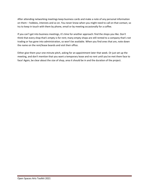After attending networking meetings keep business cards and make a note of any personal information on them – hobbies, interests and so on. You never know when you might need to call on that contact, so try to keep in touch with them by phone, email or by meeting occasionally for a coffee.

If you can't get into business meetings, it's time for another approach: find the shops you like. Don't think that every shop that's empty is for rent; many empty shops are still rented to a company that's not trading or has gone into administration, so won't be available. When you find ones that are, note down the name on the rent/lease boards and visit their office.

Either give them your one-minute pitch, asking for an appointment later that week. Or just set up the meeting, and don't mention that you want a temporary lease and no rent until you've met them face to face! Again, be clear about the size of shop, area it should be in and the duration of the project.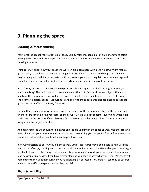# **9. Planning the space**

### **Curating & Merchandising**

You've got the space! You've got to look good. Quality retailers spend a lot of time, money and effort making their shops look good – you can achieve similar standards on a budget by being creative and thinking sideways.

Think carefully about how your space will work. A big, open space with large windows might make a great gallery space, but could be intimidating for visitors if you're running workshops and they feel they're being watched. Can you create multiple spaces in your shop – a quiet corner for meetings and workshops, a wider space for displaying art or artifacts, and an office area out the back?

In art terms, the process of putting the displays together in a space is called 'curating' – in retail, it's 'merchandising'. The basic rule is, choose a style and stick to it. Find furniture and objects that match, and treat the space as one big display. Or if you're going to 'zone' the interior – maybe a cafe area, a shop corner, a display space – use furniture and colors to make each area distinct. Shops like Ikea are great sources of affordable, funky furniture.

Even better than buying new furniture is recycling; embrace the temporary nature of the project and find furniture for free, using your local online groups. Give it all a lick of paint – everything white looks stylish and professional, or if you like more fun try miss-matched primary colors. Then sell it or give it away when the project's finished.

And don't forget to utilize furniture, fixtures and fittings you find in the space as well. Use that creative mind of yours or your other members to make use of everything you can get for free. Often times if the works are really creative people will want to purchase them.

It's always possible to borrow equipment as well. Larger local stores may also be able to help with the loan of shop-fittings, shelving and so on. And local community centers, charities and organizations might be able to loan you other things that you need. Museums might have display stands and libraries may loan desktop display cases. If you have a clear plan and you know exactly what you need, it's easy to ask. Remember to think about security. If you're displaying art or local history artifacts, can they be secured and can the staff in the space monitor them easily?

### **Signs & Legibility**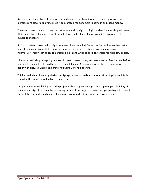Signs are important. Look at the shops around yours – they have invested in clear signs, corporate identities and clever displays to make it comfortable for customers to come in and spend money.

You may choose to spend money on custom-made shop signs or vinyl transfers for your shop windows. While a few lines of text are very affordable, larger full-color and photographic designs can cost hundreds of dollars.

So for short-term projects this might not always be economical. So be creative, and remember that a huge, homemade sign outside the venue may be more effective than a poster in a window. Alternatively, many copy shops can enlarge a black and white page to poster size for just a few dollars.

Like some retail shops wrapping windows in brown parcel paper, to create a sense of excitement before opening to the public. It could turn out to be a fab idea! Also give opportunity to be creative on the paper with pictures, words, and art work leading up to the opening.

Think as well about how art galleries use signage; when you walk into a room at most galleries, it tells you what the room's about in big, clear letters.

Design clear signs explaining what the project is about. Again, enlarge it at a copy shop for legibility. If you use your signs to explain the temporary nature of the project, it can attract people to get involved in this or future projects; and it can calm nervous visitors who don't understand your project.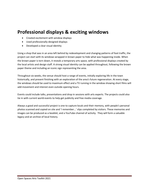## **Professional displays & exciting windows**

- Created excitement with window displays
- Used professionally-designed displays
- Developed a clear visual identity

Using a shop that was in an area left behind by redevelopment and changing patterns of foot traffic, the project can start with its windows wrapped in brown paper to hide what was happening inside. When the brown paper is torn down, it reveals a temporary arts space, with professional displays created by the local artists and design staff. A strong visual identity can be applied throughout, following the brown paper theme and including an iconic sign representing the area.

Throughout six weeks, the venue should host a range of events, initially exploring life in the town historically, and present finishing with an exploration of the area's future regeneration. At every stage, the windows should be used to maximum effect and a TV running in the window showing short films will add movement and interest even outside opening hours.

Events could include talks, presentations and drop in sessions with arts experts. The projects could also tie in with current world events to help get publicity and free media coverage.

Always a good and successful project is one to capture locals and their memory, with people's personal photos scanned and copied on site and 'I remember...' slips completed by visitors. These memories and images can be produced as a booklet, and a YouTube channel of activity. They will form a valuable legacy and an archive of local history.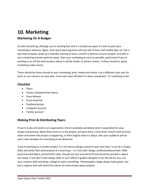# **10. Marketing**

## **Marketing On A Budget**

As with everything, although you're working fast and in a temporary space it's best to plan your marketing in advance. Again, time spent planning early will save lots of time and trouble later on. Get a big sheet of paper, draw up a calendar starting at least a month in advance of your project, and plot in your marketing activity week-by-week. Start your marketing as early as possible, particularly if you're working in an off the beat location where it will be harder to attract visitors. In these locations, good marketing really counts.

There should be three strands to your marketing; print, media and online. Use a different color pen for each, or use columns on your plan. Cross each item off when it's been completed – it's satisfying to do!

### **Checklist**

- Flyers
- Posters (adapted from flyers)
- Press Release
- Press email list
- Facebook group
- Instagram account
- Twitter account

### **Making Print & Distributing Flyers**

If you're lucky and work in an organization, there's probably somebody who's responsible for your design and printing. Meet them early on in the project, and give them a clear brief. They'll need to know when and where the project is happening, in Plain English what it's about, who your audience will be and a clear deadline for everything to be delivered.

If you're working on a smaller project, it's not hard to design and print your own flyer. It can be a simple, black and white flyer photocopied at a local shop – or a full color design, professionally printed. 5000 postcard-sized flyers, printed both sides, should cost you around \$170 and should be printed in about one week. If you don't have design skills or can't afford a graphic designer to do the job for you, use your creative skills and draw, collage or paint something. Photocopied collage always looks good, and has a urgency that will match the nature of many empty space projects.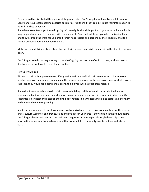Flyers should be distributed through local shops and cafes. Don't forget your local Tourist Information Centre and your local museum, galleries or libraries. Ask them if they can distribute your information to other branches or venues

If you have volunteers, get them dropping info in neighborhood shops. And if you're lucky, local schools may help out and send flyers home with their students. Stop and talk to people when delivering flyers and they'll spread the word for you. Don't forget hairdressers and barbers, as they'll happily chat to a captive audience about what you're doing.

Make sure you distribute flyers about two weeks in advance, and visit them again in the days before you open.

Don't forget to tell your neighboring shops what's going on: drop a leaflet in to them, and ask them to display a poster or have flyers on their counter.

#### **Press Releases**

Write and distribute a press release; it's a great investment as it will return real results. If you have a local agency, you may be able to persuade them to come onboard with your project and work at a lower rate than they would for a commercial client, to help you write a great press release.

If you don't have somebody to do this it's easy to build a good list of email contacts in the local and regional media; buy newspapers, pick up free magazines, and scour websites for email addresses. Use resources like Twitter and Facebook to find direct routes to journalists as well, and start talking to them early about what you're planning.

Send your press release to local, community websites (who love to receive great content for their sites, arts & culture websites, and groups, clubs and societies in your area – they'll use it in their newsletters. Don't forget that most councils have their own magazine or newspaper, although these might need information some months in advance, and that some will list community events on their websites as well.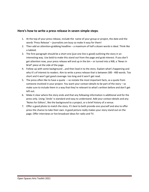### **Here's how to write a press release in seven simple steps**:

- 1. At the top of your press release, include the name of your group or project, the date and the words 'Press Release' – journalists are busy so make it easy for them!
- 2. Then add an attention-grabbing headline a maximum of half a dozen words is ideal. Think like a tabloid.
- 3. The first paragraph should be a short one (just one line is good) outlining the story in an interesting way. Use bold to make this stand out from the page and grab interest. If you don't get attention now, your press release will end up in the bin – or turned into a NIB, a 'News In Brief' piece at the side of the page.
- 4. Follow up with some background …and then lead in to the story. Explain what's happening and why it's of interest to readers. Aim to write a press release that is between 300 - 400 words. Too short and it won't get good coverage: too long and it won't get read.
- 5. The press often like to have a quote so restate the most important facts, as a quote from someone involved in your project. You want your contact details to be part of the story – so make sure to include them in a way that they're relevant to what's written before and don't get left out.
- 6. Make it clear where the story ends and that any following information is additional and for the press only. Using '/ends' is standard and easy to understand. Add your contact details and any 'Notes for Editors', like the background to a project, or a brief history of a venue.
- 7. Offer a good photo to match the story. It's best to both provide one yourself and also to offer press the chance to take their own. A good picture really makes your story stand out on the page. Offer interviews or live broadcast ideas for radio and TV.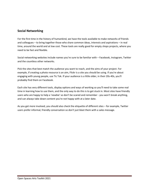### **Social Networking**

For the first time in the history of humankind, we have the tools available to make networks of friends and colleagues – to bring together those who share common ideas, interests and aspirations – in real time, around the world and at low cost. These tools are really good for empty shops projects, where you need to be fast and flexible.

Social networking websites include names you're sure to be familiar with – Facebook, Instagram, Twitter and the countless other networks.

Pick the sites that best match the audience you want to reach, and the aims of your project. For example, if creating a photo resource is an aim, Flickr is a site you should be using. If you're about engaging with young people, use Tic Tok. If your audience is a little older, in their 20s-40s, you'll probably find them on Facebook.

Each site has very different tools, display options and ways of working so you'll need to take some real time in learning how to use them, and the only way to do this is to get stuck in. Most sites have friendly users who are happy to help a 'newbie' so don't be scared and remember - you won't break anything, and can always take down content you're not happy with at a later date.

As you get more involved, you should also check the etiquette of different sites – for example, Twitter users prefer informal, friendly conversation so don't just blast them with a sales message.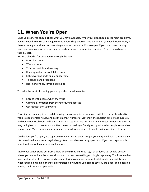## **11. When You're Open**

Once you're in, you should check what you have available. While your plan should cover most problems, you may need to make some adjustments if your shop doesn't have everything you need. Don't worry – there's usually a quick and easy way to get around problems. For example, if you don't have running water can you ask another shop nearby, and carry water in camping containers (these should cost less than \$5 each.

Here's a checklist for once you're through the door.

- Doors lock, keys
- Windows safe
- Toilet accessible and working
- Running water, sink or kitchen area
- Lights working and visually appear safe
- Telephone and broadband
- Heating working, controls explained

To make the most of opening your empty shop, you'll want to:

- Engage with people when they visit
- Capture information from them for future contact
- Get feedback on your work

Choosing set opening times, and displaying them clearly in the window, is vital. It's better to advertise you are open for less hours, and get the highest number of visitors in the shortest time. Make sure you find out about local events – like a farmers' market or an arts festival – when visitor numbers to the area may be higher, and open to match. Use the social media you've signed up with to let people know when you're open. Make this a regular reminder, as you'll catch different people online on different days.

On the days you're open, use signs on street corners to direct people your way. Find out if there are any sites nearby where you can legally hang a temporary banner or signpost. And if you can display an Aboard, put one out in a prominent location.

Make your venue stand out from others on the street: bunting, flags, or balloons tell people exactly where you are and are like urban shorthand that says something exciting is happening. You'll notice that many potential visitors are worried about entering your space, especially if it's not immediately clear what you're doing: make them feel comfortable by putting up a sign to say you are open, and if possible leaving the front door open wide.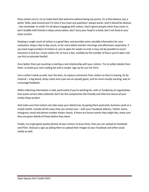Once visitors are in, try to make them feel welcome without being too pushy. It's a fine balance, but a polite 'hello, look around and I'm here if you have any questions' always works. And it should be obvious – but remember to smile! It's all about engaging with visitors. Don't ignore people when they come in; don't huddle with friends in deep conversation; don't bury your head in a book; don't eat food at your shop counter.

Keeping a rough count of visitors is a good idea, and provides some valuable information for your evaluation. Keep a day to day count, or for more detail monitor mornings and afternoons separately. If you have huge numbers of visitors or you're open for weeks on end, it may not be possible to count everyone in and out. Count visitors for an hour a day, multiply by the number of hours you're open and use this to estimate footfall.

Even better than just counting is starting a real relationship with your visitors. Try to collect details from them to build your own mailing list with a simple 'sign up for our list' form.

Use a visitor's book as well, near the door, to capture comments from visitors as they're leaving. Or be inspired – a big board, sticky notes and a pen are an equally good, and far more visually exciting, way to encourage feedback.

While collecting information is vital, particularly if you're working for, with or funded by an organization that wants certain data collected, don't let this compromise the friendly and informal nature of your empty shops project.

And make sure that visitors can take away your details too, by giving them postcards, business cards or a simple leaflet. Include all the ways they can contact you – with your Facebook address, Twitter name, Instagram, email and phone number shown clearly. If there are future events they might like, make sure they are given details of those before they leave.

Finally, try to get good-quality photos of your visitors at busy times, that you can upload to Facebook and Flickr. And put a sign up asking them to upload their images to your Facebook and other social media as well.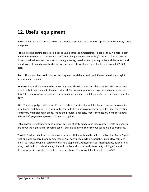## **12. Useful equipment**

Based on five years of running projects in empty shops, here are some top tips for essential empty shops equipment:

**Tables:** Folding pasting tables are ideal, as unlike larger commercial trestle tables they will fold in half and fit into the boot of a normal car. Don't buy cheap wooden ones – they'll fall apart far too quickly. Professional painters and decorators use high-quality, metal framed pasting tables and the most stylish ones look really good as well as being firm and sturdy to work on. They should cost around \$35-\$50 each.

**Seats:** There are plenty of folding or stacking seats available as well, and it's worth having enough to accommodate guests.

**Heaters:** Empty shops seem to be universally cold. Electric fan heaters that cost \$15-\$35 are fast and effective, but they do add to the electricity bill. You know how shops always have a heater over the door? It creates a warm air curtain to stop cold air coming in – and it works. So put one heater near the door.

**Wifi:** There's a gadget called a 'mi-fi' which is about the size of a mobile phone. It connects to mobile broadband, and then acts as a wifi router for up to five laptops or other devices. It's ideal for creating temporary wifi hotspots in empty shops and provides a reliable, robust connection. It will cost about \$60, and it's pay-as-you-go so you'll need to top it up.

**Tablecloths:** Using fabric softens a space, gets rid of nasty echoes and hides clutter. Single bed sheets are about the right size for covering tables. Buy a load in one color so your space looks coordinated.

**Toolkit:** You'll need a few tools, and with this useful kit you should be able to pull off that Mary Poppins trick and look prepared for any emergency. You don't need anything specialist, just a claw hammer, pliers, scissors, a couple of screwdrivers and a staple gun. Add gaffer tape, masking tape, nylon fishing wire, small tacks or nails, drawing pins and staples and you're ready. Blue tack, bulldog clips and dressmaking pins are also useful for displaying things. The whole kit will cost less than \$50.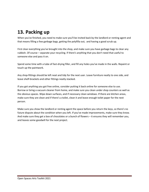# **13. Packing up**

When you've finished, you need to make sure you'll be invited back by the landlord or renting agent and that means filling a few garbage bags, getting the polyfilla out, and having a good scrub up.

First clear everything you've brought into the shop, and make sure you have garbage bags to clear any rubbish. Of course – separate your recycling. If there's anything that you don't need that useful to someone else and pass it on.

Spend some time with a tube of fast-drying filler, and fill any holes you've made in the walls. Repaint or touch up the paintwork.

Any shop-fittings should be left neat and tidy for the next user. Leave furniture neatly to one side, and leave shelf-brackets and other fittings neatly stacked.

If you got anything you got free online, consider putting it back online for someone else to use. Borrow or bring a vacuum cleaner from home, and make sure you clean under shop counters as well as the obvious spaces. Wipe down surfaces, and if necessary clean windows. If there are kitchen areas, make sure they are clean and if there's a toilet, clean it and leave enough toilet paper for the next person.

Make sure you show the landlord or renting agent the space before you return the keys, so there's no future dispute about the condition when you left. If you've made improvements, make sure they know. And make sure they get a box of chocolates or a bunch of flowers – it ensures they will remember you, and leaves some goodwill for the next project.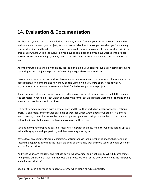## **14. Evaluation & Documentation**

Just because you've packed up and locked the door, it doesn't mean your project is over. You need to evaluate and document your project; for your own satisfaction, to show people when you're planning your next project, and to add to the idea of a nationwide empty shops map. If you're working within an organization, there will be set evaluation you have to complete and if you have worked with project partners or received funding, you may need to provide them with certain evidence and evaluation as well.

As with everything else to do with empty spaces, don't make your personal evaluation complicated, and keep a light-touch. Enjoy the process of recording the good work you've done.

On one side of your report write down how many people were involved in your project; as exhibitors or contributors, as volunteers, and how many people visited while you were open. Note down any organizations or businesses who were involved, funded or supported the project.

Record your actual project budget: what everything cost, and what money came in. match this against the estimates in your plan. They won't be exactly the same, but unless there were major changes or big unexpected problems should be close.

List any key media coverage, with a note of date and the author, including local newspapers, national press, TV and radio, and of course any blogs or websites which wrote about your project. It's always worth keeping copies, but remember you can't photocopy press cuttings or scan them to put online without a license, but you can use links in most cases without issue.

Keep as many photographs as possible, ideally starting with an empty shop, through the setting up, to a full and busy space with people in it, and then an empty shop again.

Write down any comments, from exhibitors, contributors, visitors, neighboring shops, that stand out record the negatives as well as the favorable ones, as these may well be more useful and help you learn lessons for next time.

And write your own thoughts and feelings down; what worked, and what didn't? Why did some things swing while others were stuck in a rut? Was the project too long, or too short? When was the highpoint, and what was the low?

Keep all of this in a portfolio or folder, to refer to when planning future projects.